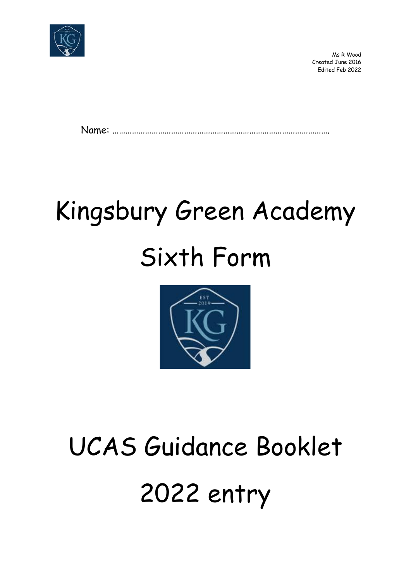

 Ms R Wood Created June 2016 Edited Feb 2022

Name: ……………………………………………………………………………………….

## Kingsbury Green Academy Sixth Form



# UCAS Guidance Booklet 2022 entry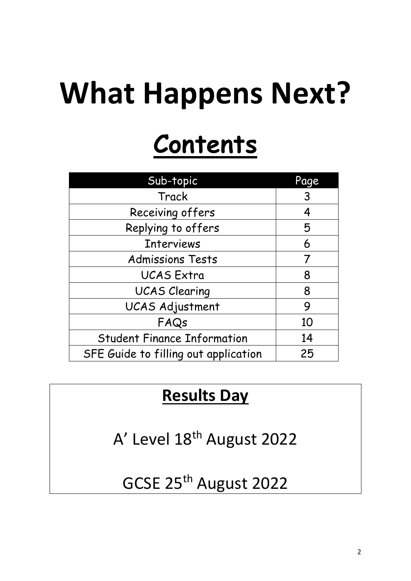# **What Happens Next?**

## **Contents**

| Sub-topic                            | Page |
|--------------------------------------|------|
| Track                                | 3    |
| Receiving offers                     | 4    |
| Replying to offers                   | 5    |
| <b>Interviews</b>                    | 6    |
| <b>Admissions Tests</b>              | 7    |
| <b>UCAS Extra</b>                    | 8    |
| <b>UCAS Clearing</b>                 | 8    |
| <b>UCAS Adjustment</b>               | 9    |
| FAQs                                 | 10   |
| <b>Student Finance Information</b>   | 14   |
| SFE Guide to filling out application | 25   |

### **Results Day**

A' Level 18<sup>th</sup> August 2022

### GCSE 25th August 2022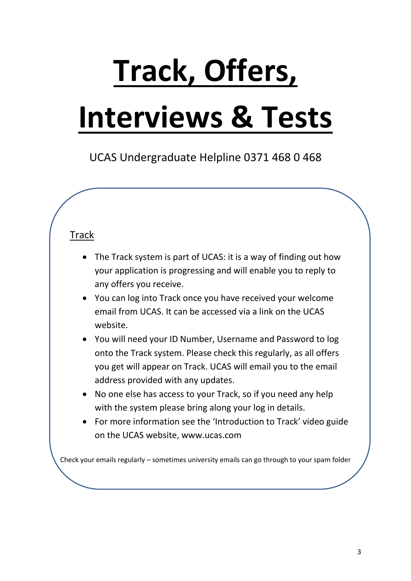# **Track, Offers,**

## **Interviews & Tests**

UCAS Undergraduate Helpline 0371 468 0 468

#### Track

- The Track system is part of UCAS: it is a way of finding out how your application is progressing and will enable you to reply to any offers you receive.
- You can log into Track once you have received your welcome email from UCAS. It can be accessed via a link on the UCAS website.
- You will need your ID Number, Username and Password to log onto the Track system. Please check this regularly, as all offers you get will appear on Track. UCAS will email you to the email address provided with any updates.
- No one else has access to your Track, so if you need any help with the system please bring along your log in details.
- For more information see the 'Introduction to Track' video guide on the UCAS website, www.ucas.com

Check your emails regularly – sometimes university emails can go through to your spam folder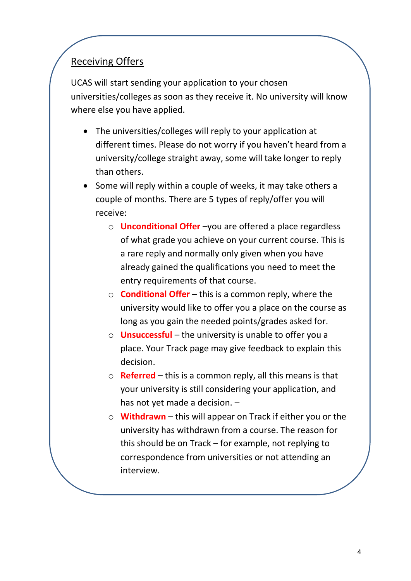#### Receiving Offers

UCAS will start sending your application to your chosen universities/colleges as soon as they receive it. No university will know where else you have applied.

- The universities/colleges will reply to your application at different times. Please do not worry if you haven't heard from a university/college straight away, some will take longer to reply than others.
- Some will reply within a couple of weeks, it may take others a couple of months. There are 5 types of reply/offer you will receive:
	- o **Unconditional Offer** –you are offered a place regardless of what grade you achieve on your current course. This is a rare reply and normally only given when you have already gained the qualifications you need to meet the entry requirements of that course.
	- o **Conditional Offer** this is a common reply, where the university would like to offer you a place on the course as long as you gain the needed points/grades asked for.
	- o **Unsuccessful** the university is unable to offer you a place. Your Track page may give feedback to explain this decision.
	- o **Referred**  this is a common reply, all this means is that your university is still considering your application, and has not yet made a decision. –
	- o **Withdrawn** this will appear on Track if either you or the university has withdrawn from a course. The reason for this should be on Track – for example, not replying to correspondence from universities or not attending an interview.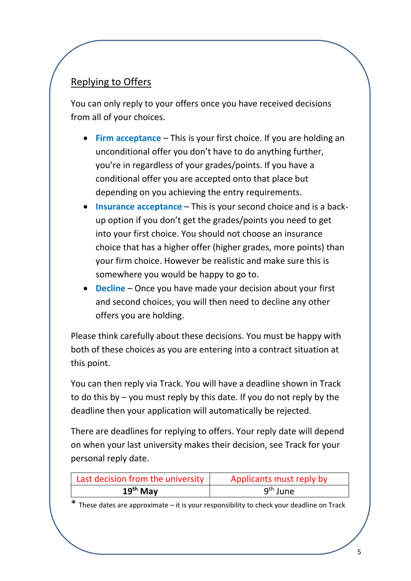#### Replying to Offers

You can only reply to your offers once you have received decisions from all of your choices.

- **Firm acceptance** This is your first choice. If you are holding an unconditional offer you don't have to do anything further, you're in regardless of your grades/points. If you have a conditional offer you are accepted onto that place but depending on you achieving the entry requirements.
- **Insurance acceptance** This is your second choice and is a backup option if you don't get the grades/points you need to get into your first choice. You should not choose an insurance choice that has a higher offer (higher grades, more points) than your firm choice. However be realistic and make sure this is somewhere you would be happy to go to.
- **Decline** Once you have made your decision about your first and second choices, you will then need to decline any other offers you are holding.

Please think carefully about these decisions. You must be happy with both of these choices as you are entering into a contract situation at this point.

You can then reply via Track. You will have a deadline shown in Track to do this by – you must reply by this date. If you do not reply by the deadline then your application will automatically be rejected.

There are deadlines for replying to offers. Your reply date will depend on when your last university makes their decision, see Track for your personal reply date.

| Last decision from the university | Applicants must reply by |
|-----------------------------------|--------------------------|
| $19th$ May                        | $9th$ June               |

\* These dates are approximate – it is your responsibility to check your deadline on Track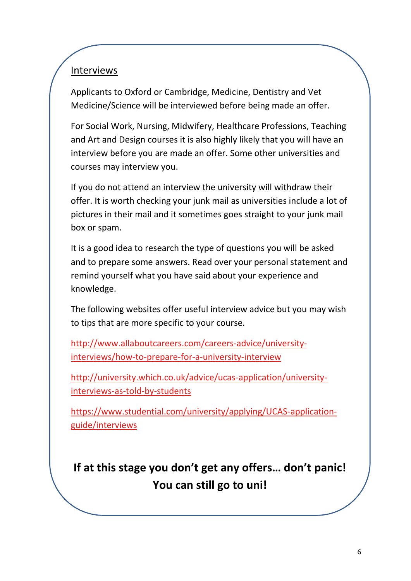#### Interviews

Applicants to Oxford or Cambridge, Medicine, Dentistry and Vet Medicine/Science will be interviewed before being made an offer.

For Social Work, Nursing, Midwifery, Healthcare Professions, Teaching and Art and Design courses it is also highly likely that you will have an interview before you are made an offer. Some other universities and courses may interview you.

If you do not attend an interview the university will withdraw their offer. It is worth checking your junk mail as universities include a lot of pictures in their mail and it sometimes goes straight to your junk mail box or spam.

It is a good idea to research the type of questions you will be asked and to prepare some answers. Read over your personal statement and remind yourself what you have said about your experience and knowledge.

The following websites offer useful interview advice but you may wish to tips that are more specific to your course.

[http://www.allaboutcareers.com/careers-advice/university](http://www.allaboutcareers.com/careers-advice/university-interviews/how-to-prepare-for-a-university-interview)[interviews/how-to-prepare-for-a-university-interview](http://www.allaboutcareers.com/careers-advice/university-interviews/how-to-prepare-for-a-university-interview)

[http://university.which.co.uk/advice/ucas-application/university](http://university.which.co.uk/advice/ucas-application/university-interviews-as-told-by-students)[interviews-as-told-by-students](http://university.which.co.uk/advice/ucas-application/university-interviews-as-told-by-students) 

[https://www.studential.com/university/applying/UCAS-application](https://www.studential.com/university/applying/UCAS-application-guide/interviews)[guide/interviews](https://www.studential.com/university/applying/UCAS-application-guide/interviews) 

**If at this stage you don't get any offers… don't panic! You can still go to uni!**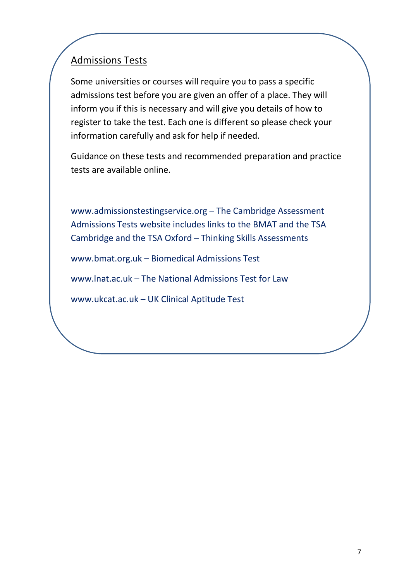#### Admissions Tests

Some universities or courses will require you to pass a specific admissions test before you are given an offer of a place. They will inform you if this is necessary and will give you details of how to register to take the test. Each one is different so please check your information carefully and ask for help if needed.

Guidance on these tests and recommended preparation and practice tests are available online.

www.admissionstestingservice.org – The Cambridge Assessment Admissions Tests website includes links to the BMAT and the TSA Cambridge and the TSA Oxford – Thinking Skills Assessments

www.bmat.org.uk – Biomedical Admissions Test

www.lnat.ac.uk – The National Admissions Test for Law

www.ukcat.ac.uk – UK Clinical Aptitude Test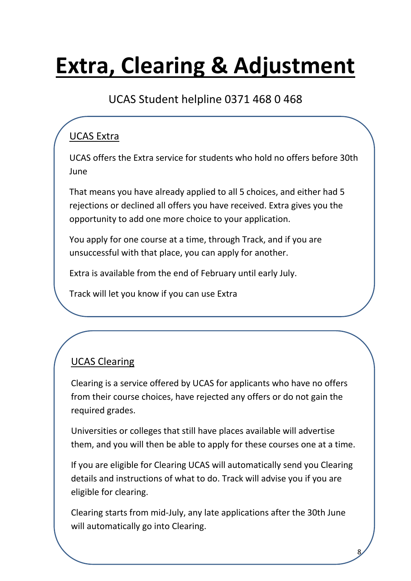### **Extra, Clearing & Adjustment**

### UCAS Student helpline 0371 468 0 468

### UCAS Extra

UCAS offers the Extra service for students who hold no offers before 30th June

That means you have already applied to all 5 choices, and either had 5 rejections or declined all offers you have received. Extra gives you the opportunity to add one more choice to your application.

You apply for one course at a time, through Track, and if you are unsuccessful with that place, you can apply for another.

Extra is available from the end of February until early July.

Track will let you know if you can use Extra

#### UCAS Clearing

Clearing is a service offered by UCAS for applicants who have no offers from their course choices, have rejected any offers or do not gain the required grades.

Universities or colleges that still have places available will advertise them, and you will then be able to apply for these courses one at a time.

If you are eligible for Clearing UCAS will automatically send you Clearing details and instructions of what to do. Track will advise you if you are eligible for clearing.

Clearing starts from mid-July, any late applications after the 30th June will automatically go into Clearing.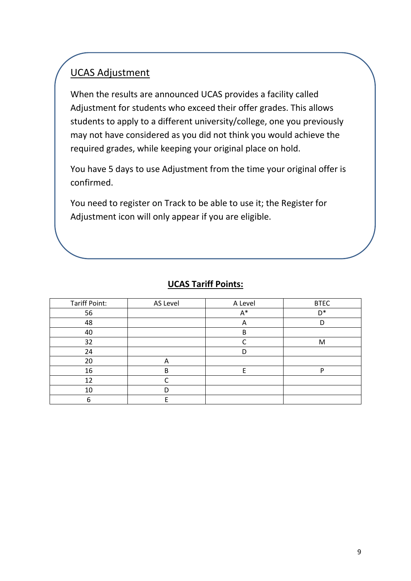#### UCAS Adjustment

When the results are announced UCAS provides a facility called Adjustment for students who exceed their offer grades. This allows students to apply to a different university/college, one you previously may not have considered as you did not think you would achieve the required grades, while keeping your original place on hold.

You have 5 days to use Adjustment from the time your original offer is confirmed.

You need to register on Track to be able to use it; the Register for Adjustment icon will only appear if you are eligible.

#### **UCAS Tariff Points:**

| <b>Tariff Point:</b> | AS Level | A Level | <b>BTEC</b> |
|----------------------|----------|---------|-------------|
| 56                   |          | A*      | $D^*$       |
| 48                   |          | А       |             |
| 40                   |          | B       |             |
| 32                   |          |         | M           |
| 24                   |          | D       |             |
| 20                   | Α        |         |             |
| 16                   | B        | с       | רו          |
| 12                   |          |         |             |
| 10                   |          |         |             |
|                      |          |         |             |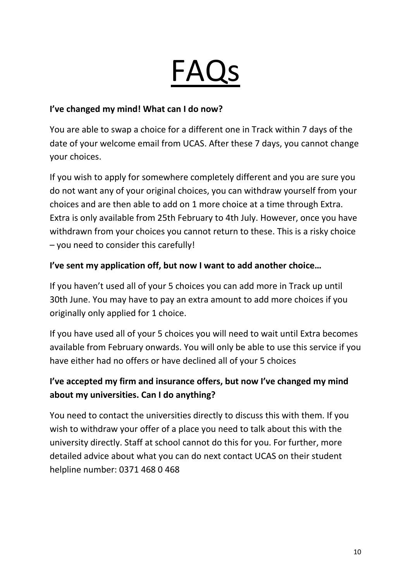## FAQs

#### **I've changed my mind! What can I do now?**

You are able to swap a choice for a different one in Track within 7 days of the date of your welcome email from UCAS. After these 7 days, you cannot change your choices.

If you wish to apply for somewhere completely different and you are sure you do not want any of your original choices, you can withdraw yourself from your choices and are then able to add on 1 more choice at a time through Extra. Extra is only available from 25th February to 4th July. However, once you have withdrawn from your choices you cannot return to these. This is a risky choice – you need to consider this carefully!

#### **I've sent my application off, but now I want to add another choice…**

If you haven't used all of your 5 choices you can add more in Track up until 30th June. You may have to pay an extra amount to add more choices if you originally only applied for 1 choice.

If you have used all of your 5 choices you will need to wait until Extra becomes available from February onwards. You will only be able to use this service if you have either had no offers or have declined all of your 5 choices

#### **I've accepted my firm and insurance offers, but now I've changed my mind about my universities. Can I do anything?**

You need to contact the universities directly to discuss this with them. If you wish to withdraw your offer of a place you need to talk about this with the university directly. Staff at school cannot do this for you. For further, more detailed advice about what you can do next contact UCAS on their student helpline number: 0371 468 0 468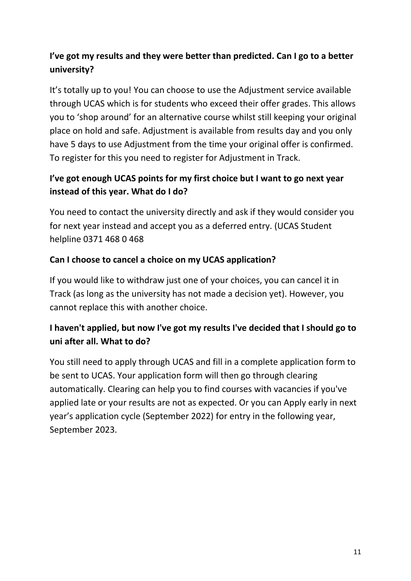#### **I've got my results and they were better than predicted. Can I go to a better university?**

It's totally up to you! You can choose to use the Adjustment service available through UCAS which is for students who exceed their offer grades. This allows you to 'shop around' for an alternative course whilst still keeping your original place on hold and safe. Adjustment is available from results day and you only have 5 days to use Adjustment from the time your original offer is confirmed. To register for this you need to register for Adjustment in Track.

#### **I've got enough UCAS points for my first choice but I want to go next year instead of this year. What do I do?**

You need to contact the university directly and ask if they would consider you for next year instead and accept you as a deferred entry. (UCAS Student helpline 0371 468 0 468

#### **Can I choose to cancel a choice on my UCAS application?**

If you would like to withdraw just one of your choices, you can cancel it in Track (as long as the university has not made a decision yet). However, you cannot replace this with another choice.

#### **I haven't applied, but now I've got my results I've decided that I should go to uni after all. What to do?**

You still need to apply through UCAS and fill in a complete application form to be sent to UCAS. Your application form will then go through clearing automatically. Clearing can help you to find courses with vacancies if you've applied late or your results are not as expected. Or you can Apply early in next year's application cycle (September 2022) for entry in the following year, September 2023.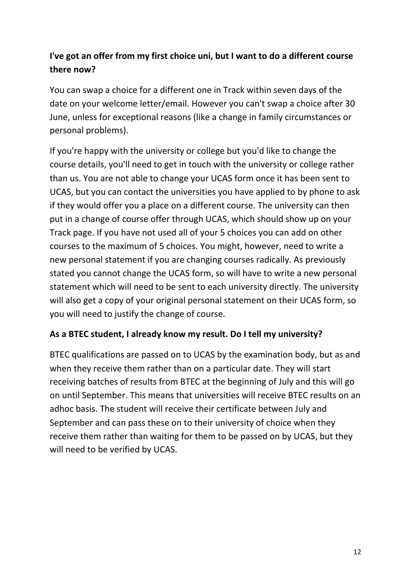#### **I've got an offer from my first choice uni, but I want to do a different course there now?**

You can swap a choice for a different one in Track within seven days of the date on your welcome letter/email. However you can't swap a choice after 30 June, unless for exceptional reasons (like a change in family circumstances or personal problems).

If you're happy with the university or college but you'd like to change the course details, you'll need to get in touch with the university or college rather than us. You are not able to change your UCAS form once it has been sent to UCAS, but you can contact the universities you have applied to by phone to ask if they would offer you a place on a different course. The university can then put in a change of course offer through UCAS, which should show up on your Track page. If you have not used all of your 5 choices you can add on other courses to the maximum of 5 choices. You might, however, need to write a new personal statement if you are changing courses radically. As previously stated you cannot change the UCAS form, so will have to write a new personal statement which will need to be sent to each university directly. The university will also get a copy of your original personal statement on their UCAS form, so you will need to justify the change of course.

#### **As a BTEC student, I already know my result. Do I tell my university?**

BTEC qualifications are passed on to UCAS by the examination body, but as and when they receive them rather than on a particular date. They will start receiving batches of results from BTEC at the beginning of July and this will go on until September. This means that universities will receive BTEC results on an adhoc basis. The student will receive their certificate between July and September and can pass these on to their university of choice when they receive them rather than waiting for them to be passed on by UCAS, but they will need to be verified by UCAS.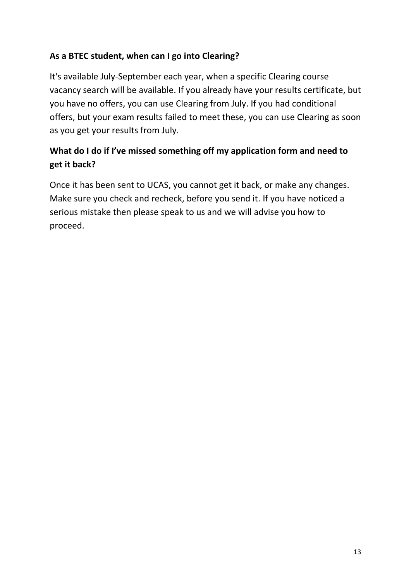#### **As a BTEC student, when can I go into Clearing?**

It's available July-September each year, when a specific Clearing course vacancy search will be available. If you already have your results certificate, but you have no offers, you can use Clearing from July. If you had conditional offers, but your exam results failed to meet these, you can use Clearing as soon as you get your results from July.

#### **What do I do if I've missed something off my application form and need to get it back?**

Once it has been sent to UCAS, you cannot get it back, or make any changes. Make sure you check and recheck, before you send it. If you have noticed a serious mistake then please speak to us and we will advise you how to proceed.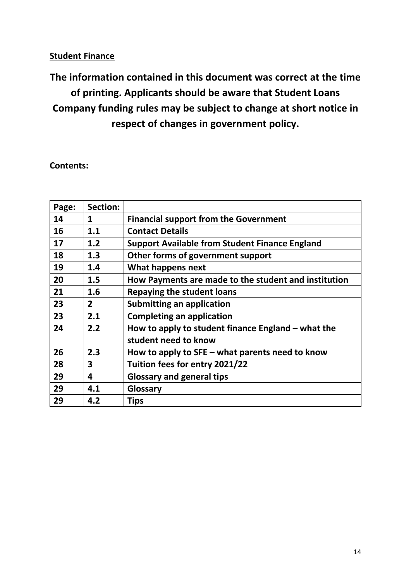#### **Student Finance**

**The information contained in this document was correct at the time of printing. Applicants should be aware that Student Loans Company funding rules may be subject to change at short notice in respect of changes in government policy.** 

**Contents:** 

| Page: | Section:       |                                                       |
|-------|----------------|-------------------------------------------------------|
| 14    | 1              | <b>Financial support from the Government</b>          |
| 16    | 1.1            | <b>Contact Details</b>                                |
| 17    | 1.2            | <b>Support Available from Student Finance England</b> |
| 18    | 1.3            | Other forms of government support                     |
| 19    | 1.4            | What happens next                                     |
| 20    | 1.5            | How Payments are made to the student and institution  |
| 21    | 1.6            | <b>Repaying the student loans</b>                     |
| 23    | $\overline{2}$ | <b>Submitting an application</b>                      |
| 23    | 2.1            | <b>Completing an application</b>                      |
| 24    | 2.2            | How to apply to student finance England $-$ what the  |
|       |                | student need to know                                  |
| 26    | 2.3            | How to apply to $SFE - what parents need to know$     |
| 28    | 3              | Tuition fees for entry 2021/22                        |
| 29    | 4              | <b>Glossary and general tips</b>                      |
| 29    | 4.1            | Glossary                                              |
| 29    | 4.2            | <b>Tips</b>                                           |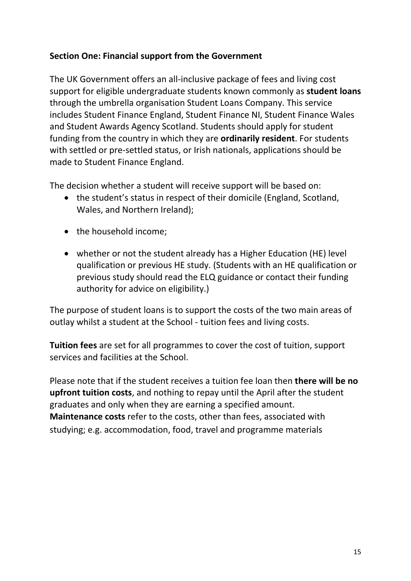#### **Section One: Financial support from the Government**

The UK Government offers an all-inclusive package of fees and living cost support for eligible undergraduate students known commonly as **student loans**  through the umbrella organisation Student Loans Company. This service includes Student Finance England, Student Finance NI, Student Finance Wales and Student Awards Agency Scotland. Students should apply for student funding from the country in which they are **ordinarily resident**. For students with settled or pre-settled status, or Irish nationals, applications should be made to Student Finance England.

The decision whether a student will receive support will be based on:

- the student's status in respect of their domicile (England, Scotland, Wales, and Northern Ireland);
- the household income;
- whether or not the student already has a Higher Education (HE) level qualification or previous HE study. (Students with an HE qualification or previous study should read the ELQ guidance or contact their funding authority for advice on eligibility.)

The purpose of student loans is to support the costs of the two main areas of outlay whilst a student at the School - tuition fees and living costs.

**Tuition fees** are set for all programmes to cover the cost of tuition, support services and facilities at the School.

Please note that if the student receives a tuition fee loan then **there will be no upfront tuition costs**, and nothing to repay until the April after the student graduates and only when they are earning a specified amount. **Maintenance costs** refer to the costs, other than fees, associated with studying; e.g. accommodation, food, travel and programme materials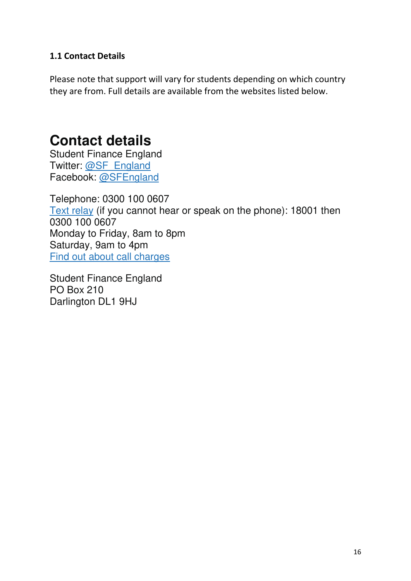#### **1.1 Contact Details**

Please note that support will vary for students depending on which country they are from. Full details are available from the websites listed below.

### **Contact details**

Student Finance England Twitter: [@SF\\_England](https://twitter.com/SF_England) Facebook: [@SFEngland](https://www.facebook.com/SFEngland)

Telephone: 0300 100 0607 [Text relay](https://www.relayuk.bt.com/) (if you cannot hear or speak on the phone): 18001 then 0300 100 0607 Monday to Friday, 8am to 8pm Saturday, 9am to 4pm [Find out about call charges](https://www.gov.uk/call-charges)

Student Finance England PO Box 210 Darlington DL1 9HJ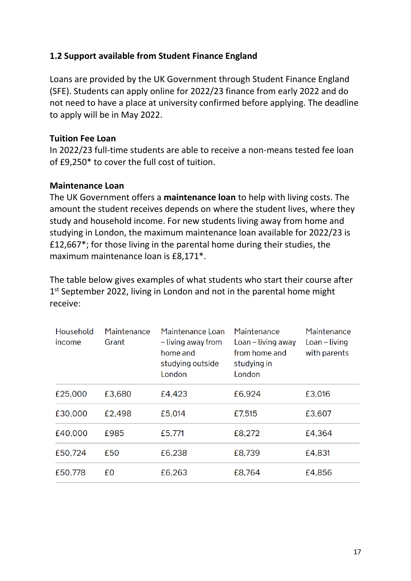#### **1.2 Support available from Student Finance England**

Loans are provided by the UK Government through Student Finance England (SFE). Students can apply online for 2022/23 finance from early 2022 and do not need to have a place at university confirmed before applying. The deadline to apply will be in May 2022.

#### **Tuition Fee Loan**

In 2022/23 full-time students are able to receive a non-means tested fee loan of £9,250\* to cover the full cost of tuition.

#### **Maintenance Loan**

The UK Government offers a **maintenance loan** to help with living costs. The amount the student receives depends on where the student lives, where they study and household income. For new students living away from home and studying in London, the maximum maintenance loan available for 2022/23 is £12,667\*; for those living in the parental home during their studies, the maximum maintenance loan is £8,171\*.

The table below gives examples of what students who start their course after 1<sup>st</sup> September 2022, living in London and not in the parental home might receive:

| Household<br>income | Maintenance<br>Grant | Maintenance Loan<br>- living away from<br>home and<br>studying outside<br>London | Maintenance<br>Loan – living away<br>from home and<br>studying in<br>London | Maintenance<br>$Loan - living$<br>with parents |
|---------------------|----------------------|----------------------------------------------------------------------------------|-----------------------------------------------------------------------------|------------------------------------------------|
| £25,000             | £3,680               | £4,423                                                                           | £6,924                                                                      | £3,016                                         |
| £30,000             | £2,498               | £5,014                                                                           | £7,515                                                                      | £3,607                                         |
| £40,000             | £985                 | £5,771                                                                           | £8,272                                                                      | £4,364                                         |
| £50,724             | £50                  | £6,238                                                                           | £8,739                                                                      | £4,831                                         |
| £50,778             | £0                   | £6,263                                                                           | £8,764                                                                      | £4,856                                         |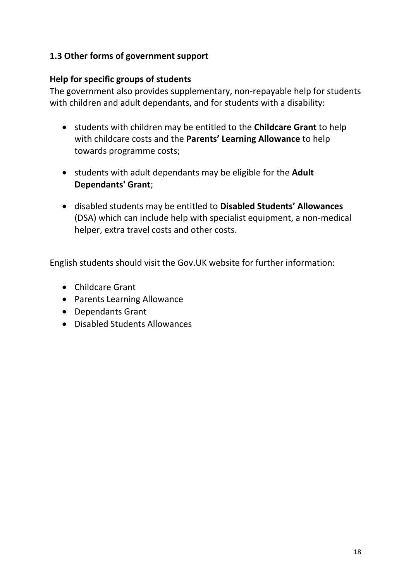#### **1.3 Other forms of government support**

#### **Help for specific groups of students**

The government also provides supplementary, non-repayable help for students with children and adult dependants, and for students with a disability:

- students with children may be entitled to the **Childcare Grant** to help with childcare costs and the **Parents' Learning Allowance** to help towards programme costs;
- students with adult dependants may be eligible for the **Adult Dependants' Grant**;
- disabled students may be entitled to **Disabled Students' Allowances**  (DSA) which can include help with specialist equipment, a non-medical helper, extra travel costs and other costs.

English students should visit the Gov.UK website for further information:

- Childcare Grant
- Parents Learning Allowance
- Dependants Grant
- Disabled Students Allowances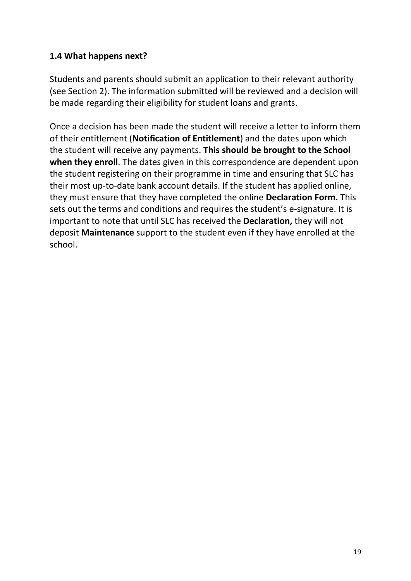#### **1.4 What happens next?**

Students and parents should submit an application to their relevant authority (see Section 2). The information submitted will be reviewed and a decision will be made regarding their eligibility for student loans and grants.

Once a decision has been made the student will receive a letter to inform them of their entitlement (**Notification of Entitlement**) and the dates upon which the student will receive any payments. **This should be brought to the School when they enroll**. The dates given in this correspondence are dependent upon the student registering on their programme in time and ensuring that SLC has their most up-to-date bank account details. If the student has applied online, they must ensure that they have completed the online **Declaration Form.** This sets out the terms and conditions and requires the student's e-signature. It is important to note that until SLC has received the **Declaration,** they will not deposit **Maintenance** support to the student even if they have enrolled at the school.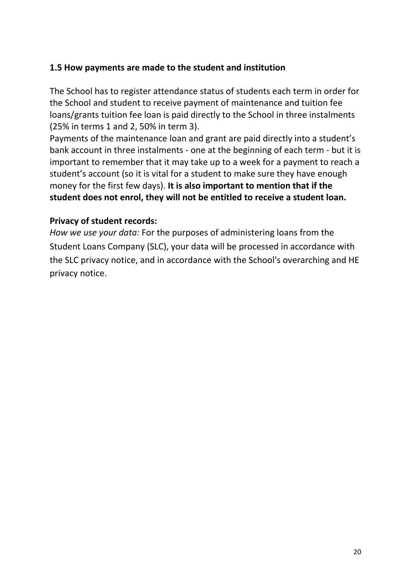#### **1.5 How payments are made to the student and institution**

The School has to register attendance status of students each term in order for the School and student to receive payment of maintenance and tuition fee loans/grants tuition fee loan is paid directly to the School in three instalments (25% in terms 1 and 2, 50% in term 3).

Payments of the maintenance loan and grant are paid directly into a student's bank account in three instalments - one at the beginning of each term - but it is important to remember that it may take up to a week for a payment to reach a student's account (so it is vital for a student to make sure they have enough money for the first few days). **It is also important to mention that if the student does not enrol, they will not be entitled to receive a student loan.** 

#### **Privacy of student records:**

*How we use your data:* For the purposes of administering loans from the Student Loans Company (SLC), your data will be processed in accordance with the SLC privacy notice, and in accordance with the School's overarching and HE privacy notice.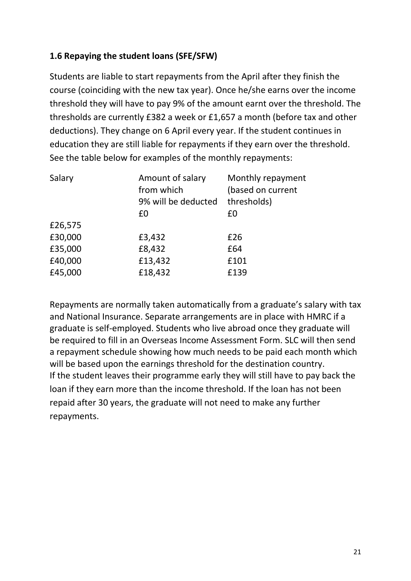#### **1.6 Repaying the student loans (SFE/SFW)**

Students are liable to start repayments from the April after they finish the course (coinciding with the new tax year). Once he/she earns over the income threshold they will have to pay 9% of the amount earnt over the threshold. The thresholds are currently £382 a week or £1,657 a month (before tax and other deductions). They change on 6 April every year. If the student continues in education they are still liable for repayments if they earn over the threshold. See the table below for examples of the monthly repayments:

| Amount of salary<br>from which | Monthly repayment<br>(based on current<br>thresholds) |
|--------------------------------|-------------------------------------------------------|
| £0                             | £0                                                    |
|                                |                                                       |
| £3,432                         | £26                                                   |
| £8,432                         | £64                                                   |
| £13,432                        | £101                                                  |
| £18,432                        | £139                                                  |
|                                | 9% will be deducted                                   |

Repayments are normally taken automatically from a graduate's salary with tax and National Insurance. Separate arrangements are in place with HMRC if a graduate is self-employed. Students who live abroad once they graduate will be required to fill in an Overseas Income Assessment Form. SLC will then send a repayment schedule showing how much needs to be paid each month which will be based upon the earnings threshold for the destination country. If the student leaves their programme early they will still have to pay back the loan if they earn more than the income threshold. If the loan has not been repaid after 30 years, the graduate will not need to make any further repayments.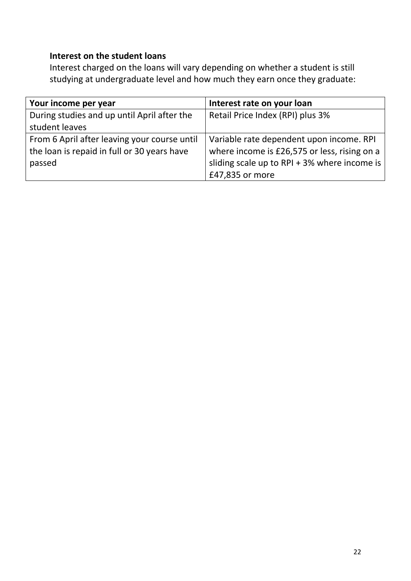#### **Interest on the student loans**

Interest charged on the loans will vary depending on whether a student is still studying at undergraduate level and how much they earn once they graduate:

| Your income per year                         | Interest rate on your loan                   |
|----------------------------------------------|----------------------------------------------|
| During studies and up until April after the  | Retail Price Index (RPI) plus 3%             |
| student leaves                               |                                              |
| From 6 April after leaving your course until | Variable rate dependent upon income. RPI     |
| the loan is repaid in full or 30 years have  | where income is £26,575 or less, rising on a |
| passed                                       | sliding scale up to RPI + 3% where income is |
|                                              | £47,835 or more                              |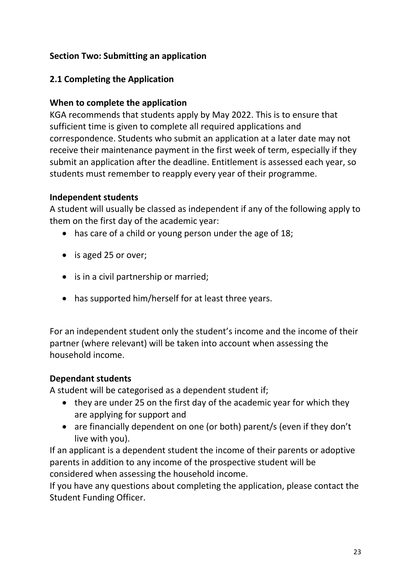#### **Section Two: Submitting an application**

#### **2.1 Completing the Application**

#### **When to complete the application**

KGA recommends that students apply by May 2022. This is to ensure that sufficient time is given to complete all required applications and correspondence. Students who submit an application at a later date may not receive their maintenance payment in the first week of term, especially if they submit an application after the deadline. Entitlement is assessed each year, so students must remember to reapply every year of their programme.

#### **Independent students**

A student will usually be classed as independent if any of the following apply to them on the first day of the academic year:

- has care of a child or young person under the age of 18;
- is aged 25 or over;
- is in a civil partnership or married;
- has supported him/herself for at least three years.

For an independent student only the student's income and the income of their partner (where relevant) will be taken into account when assessing the household income.

#### **Dependant students**

A student will be categorised as a dependent student if;

- they are under 25 on the first day of the academic year for which they are applying for support and
- are financially dependent on one (or both) parent/s (even if they don't live with you).

If an applicant is a dependent student the income of their parents or adoptive parents in addition to any income of the prospective student will be considered when assessing the household income.

If you have any questions about completing the application, please contact the Student Funding Officer.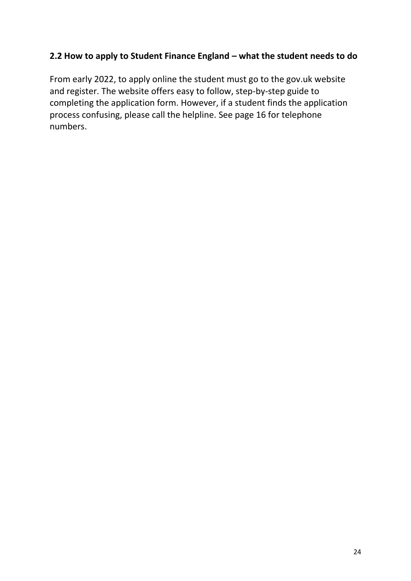#### **2.2 How to apply to Student Finance England – what the student needs to do**

From early 2022, to apply online the student must go to the gov.uk website and register. The website offers easy to follow, step-by-step guide to completing the application form. However, if a student finds the application process confusing, please call the helpline. See page 16 for telephone numbers.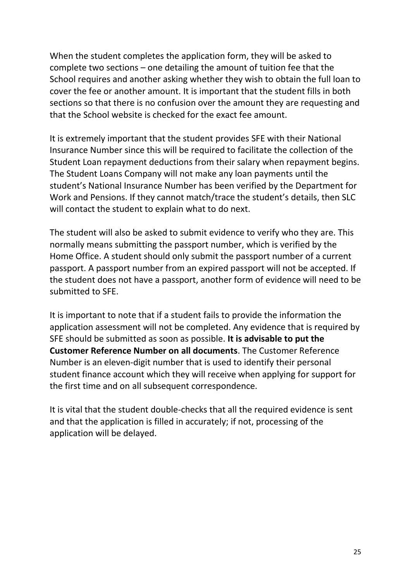When the student completes the application form, they will be asked to complete two sections – one detailing the amount of tuition fee that the School requires and another asking whether they wish to obtain the full loan to cover the fee or another amount. It is important that the student fills in both sections so that there is no confusion over the amount they are requesting and that the School website is checked for the exact fee amount.

It is extremely important that the student provides SFE with their National Insurance Number since this will be required to facilitate the collection of the Student Loan repayment deductions from their salary when repayment begins. The Student Loans Company will not make any loan payments until the student's National Insurance Number has been verified by the Department for Work and Pensions. If they cannot match/trace the student's details, then SLC will contact the student to explain what to do next.

The student will also be asked to submit evidence to verify who they are. This normally means submitting the passport number, which is verified by the Home Office. A student should only submit the passport number of a current passport. A passport number from an expired passport will not be accepted. If the student does not have a passport, another form of evidence will need to be submitted to SFE.

It is important to note that if a student fails to provide the information the application assessment will not be completed. Any evidence that is required by SFE should be submitted as soon as possible. **It is advisable to put the Customer Reference Number on all documents**. The Customer Reference Number is an eleven-digit number that is used to identify their personal student finance account which they will receive when applying for support for the first time and on all subsequent correspondence.

It is vital that the student double-checks that all the required evidence is sent and that the application is filled in accurately; if not, processing of the application will be delayed.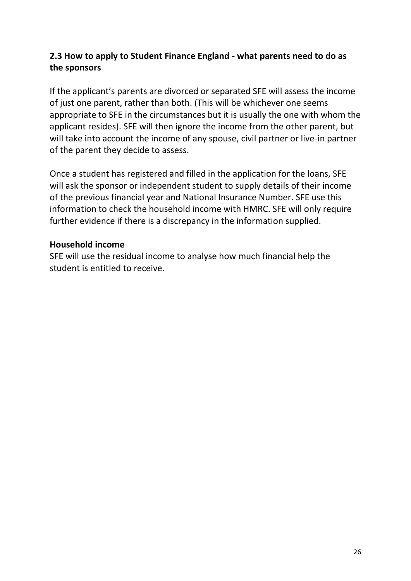#### **2.3 How to apply to Student Finance England - what parents need to do as the sponsors**

If the applicant's parents are divorced or separated SFE will assess the income of just one parent, rather than both. (This will be whichever one seems appropriate to SFE in the circumstances but it is usually the one with whom the applicant resides). SFE will then ignore the income from the other parent, but will take into account the income of any spouse, civil partner or live-in partner of the parent they decide to assess.

Once a student has registered and filled in the application for the loans, SFE will ask the sponsor or independent student to supply details of their income of the previous financial year and National Insurance Number. SFE use this information to check the household income with HMRC. SFE will only require further evidence if there is a discrepancy in the information supplied.

#### **Household income**

SFE will use the residual income to analyse how much financial help the student is entitled to receive.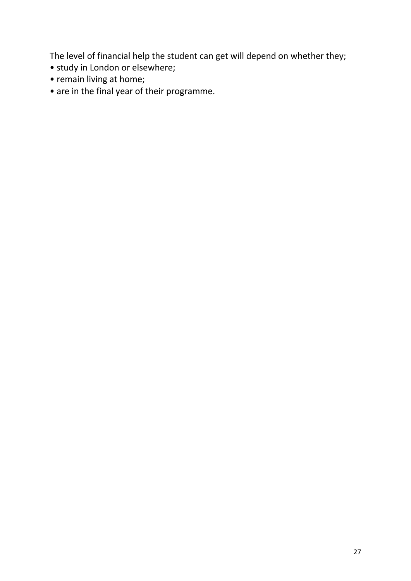The level of financial help the student can get will depend on whether they;

- study in London or elsewhere;
- remain living at home;
- are in the final year of their programme.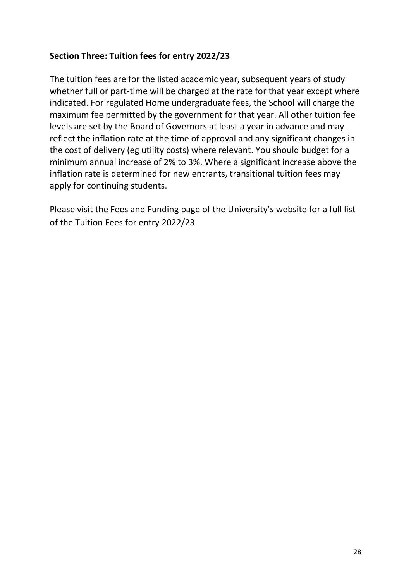#### **Section Three: Tuition fees for entry 2022/23**

The tuition fees are for the listed academic year, subsequent years of study whether full or part-time will be charged at the rate for that year except where indicated. For regulated Home undergraduate fees, the School will charge the maximum fee permitted by the government for that year. All other tuition fee levels are set by the Board of Governors at least a year in advance and may reflect the inflation rate at the time of approval and any significant changes in the cost of delivery (eg utility costs) where relevant. You should budget for a minimum annual increase of 2% to 3%. Where a significant increase above the inflation rate is determined for new entrants, transitional tuition fees may apply for continuing students.

Please visit the Fees and Funding page of the University's website for a full list of the Tuition Fees for entry 2022/23